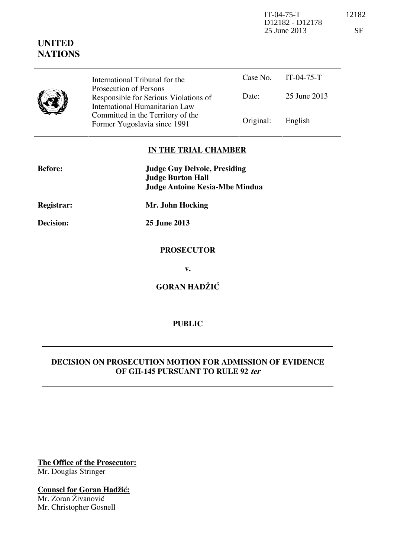IT-04-75-T 12182 D12182 - D12178 25 June 2013 SF

| <b>UNITED</b><br><b>NATIONS</b> |                                                                                                                                                                                                          |           |              |
|---------------------------------|----------------------------------------------------------------------------------------------------------------------------------------------------------------------------------------------------------|-----------|--------------|
|                                 | International Tribunal for the<br>Prosecution of Persons<br>Responsible for Serious Violations of<br>International Humanitarian Law<br>Committed in the Territory of the<br>Former Yugoslavia since 1991 | Case No.  | $IT-04-75-T$ |
|                                 |                                                                                                                                                                                                          | Date:     | 25 June 2013 |
|                                 |                                                                                                                                                                                                          | Original: | English      |

## **IN THE TRIAL CHAMBER**

| <b>Before:</b>    | <b>Judge Guy Delvoie, Presiding</b><br><b>Judge Burton Hall</b><br><b>Judge Antoine Kesia-Mbe Mindua</b> |  |
|-------------------|----------------------------------------------------------------------------------------------------------|--|
| <b>Registrar:</b> | Mr. John Hocking                                                                                         |  |
| Decision:         | 25 June 2013                                                                                             |  |
|                   | <b>PROSECUTOR</b>                                                                                        |  |
|                   | v.                                                                                                       |  |
|                   | <b>GORAN HADŽIĆ</b>                                                                                      |  |
|                   |                                                                                                          |  |

### **PUBLIC**

# **DECISION ON PROSECUTION MOTION FOR ADMISSION OF EVIDENCE OF GH-145 PURSUANT TO RULE 92 ter**

**The Office of the Prosecutor:** Mr. Douglas Stringer

 $\overline{\phantom{0}}$ 

**Counsel for Goran Hadžić:** Mr. Zoran Živanović Mr. Christopher Gosnell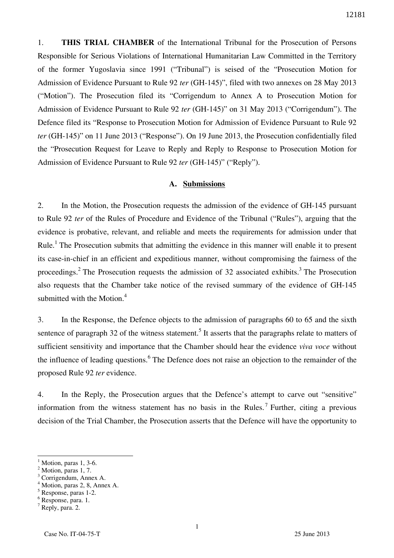1. **THIS TRIAL CHAMBER** of the International Tribunal for the Prosecution of Persons Responsible for Serious Violations of International Humanitarian Law Committed in the Territory of the former Yugoslavia since 1991 ("Tribunal") is seised of the "Prosecution Motion for Admission of Evidence Pursuant to Rule 92 *ter* (GH-145)", filed with two annexes on 28 May 2013 ("Motion"). The Prosecution filed its "Corrigendum to Annex A to Prosecution Motion for Admission of Evidence Pursuant to Rule 92 *ter* (GH-145)" on 31 May 2013 ("Corrigendum"). The Defence filed its "Response to Prosecution Motion for Admission of Evidence Pursuant to Rule 92 *ter* (GH-145)" on 11 June 2013 ("Response"). On 19 June 2013, the Prosecution confidentially filed the "Prosecution Request for Leave to Reply and Reply to Response to Prosecution Motion for Admission of Evidence Pursuant to Rule 92 *ter* (GH-145)" ("Reply").

#### **A. Submissions**

2. In the Motion, the Prosecution requests the admission of the evidence of GH-145 pursuant to Rule 92 *ter* of the Rules of Procedure and Evidence of the Tribunal ("Rules"), arguing that the evidence is probative, relevant, and reliable and meets the requirements for admission under that Rule.<sup>1</sup> The Prosecution submits that admitting the evidence in this manner will enable it to present its case-in-chief in an efficient and expeditious manner, without compromising the fairness of the proceedings.<sup>2</sup> The Prosecution requests the admission of 32 associated exhibits.<sup>3</sup> The Prosecution also requests that the Chamber take notice of the revised summary of the evidence of GH-145 submitted with the Motion. $4$ 

3. In the Response, the Defence objects to the admission of paragraphs 60 to 65 and the sixth sentence of paragraph 32 of the witness statement.<sup>5</sup> It asserts that the paragraphs relate to matters of sufficient sensitivity and importance that the Chamber should hear the evidence *viva voce* without the influence of leading questions.<sup>6</sup> The Defence does not raise an objection to the remainder of the proposed Rule 92 *ter* evidence.

4. In the Reply, the Prosecution argues that the Defence's attempt to carve out "sensitive" information from the witness statement has no basis in the Rules.<sup>7</sup> Further, citing a previous decision of the Trial Chamber, the Prosecution asserts that the Defence will have the opportunity to

 $\overline{a}$ 

<sup>1</sup> Motion, paras 1, 3-6.

 $<sup>2</sup>$  Motion, paras 1, 7.</sup> 3

Corrigendum, Annex A.

<sup>4</sup> Motion, paras 2, 8, Annex A.

<sup>5</sup> Response, paras 1-2.

<sup>6</sup> Response, para. 1.

 $^7$  Reply, para. 2.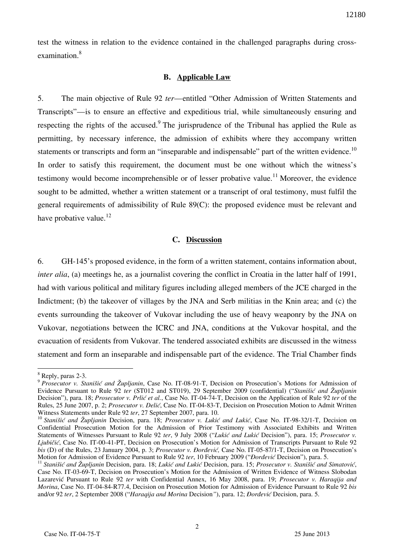test the witness in relation to the evidence contained in the challenged paragraphs during crossexamination.<sup>8</sup>

#### **B. Applicable Law**

5. The main objective of Rule 92 *ter*—entitled "Other Admission of Written Statements and Transcripts"—is to ensure an effective and expeditious trial, while simultaneously ensuring and respecting the rights of the accused.<sup>9</sup> The jurisprudence of the Tribunal has applied the Rule as permitting, by necessary inference, the admission of exhibits where they accompany written statements or transcripts and form an "inseparable and indispensable" part of the written evidence.<sup>10</sup> In order to satisfy this requirement, the document must be one without which the witness's testimony would become incomprehensible or of lesser probative value.<sup>11</sup> Moreover, the evidence sought to be admitted, whether a written statement or a transcript of oral testimony, must fulfil the general requirements of admissibility of Rule 89(C): the proposed evidence must be relevant and have probative value. $^{12}$ 

#### **C. Discussion**

6. GH-145's proposed evidence, in the form of a written statement, contains information about, *inter alia*, (a) meetings he, as a journalist covering the conflict in Croatia in the latter half of 1991, had with various political and military figures including alleged members of the JCE charged in the Indictment; (b) the takeover of villages by the JNA and Serb militias in the Knin area; and (c) the events surrounding the takeover of Vukovar including the use of heavy weaponry by the JNA on Vukovar, negotiations between the ICRC and JNA, conditions at the Vukovar hospital, and the evacuation of residents from Vukovar. The tendered associated exhibits are discussed in the witness statement and form an inseparable and indispensable part of the evidence. The Trial Chamber finds

 $\overline{a}$ 

<sup>8</sup> Reply, paras 2-3.

<sup>9</sup> *Prosecutor v. Stanišić and Župljanin*, Case No. IT-08-91-T, Decision on Prosecution's Motions for Admission of Evidence Pursuant to Rule 92 *ter* (ST012 and ST019), 29 September 2009 (confidential) ("*Stanišić and Župljanin* Decision"), para. 18; *Prosecutor v. Prlić et al.*, Case No. IT-04-74-T, Decision on the Application of Rule 92 *ter* of the Rules, 25 June 2007, p. 2; *Prosecutor v. Deli}*, Case No. IT-04-83-T, Decision on Prosecution Motion to Admit Written Witness Statements under Rule 92 *ter*, 27 September 2007, para. 10.

<sup>&</sup>lt;sup>10</sup> Stanišić and Župljanin Decision, para. 18; Prosecutor v. Lukić and Lukić, Case No. IT-98-32/1-T, Decision on Confidential Prosecution Motion for the Admission of Prior Testimony with Associated Exhibits and Written Statements of Witnesses Pursuant to Rule 92 ter, 9 July 2008 ("Lukić and Lukić Decision"), para. 15; *Prosecutor v. Ljubičić*, Case No. IT-00-41-PT, Decision on Prosecution's Motion for Admission of Transcripts Pursuant to Rule 92 *bis* (D) of the Rules, 23 January 2004, p. 3; *Prosecutor v. Đorđević*, Case No. IT-05-87/1-T, Decision on Prosecution's Motion for Admission of Evidence Pursuant to Rule 92 *ter*, 10 February 2009 ("*Dorđević* Decision"), para. 5.

<sup>&</sup>lt;sup>11</sup> Stanišić and Župljanin Decision, para. 18; Lukić and Lukić Decision, para. 15; Prosecutor v. Stanišić and Simatović, Case No. IT-03-69-T, Decision on Prosecution's Motion for the Admission of Written Evidence of Witness Slobodan Lazarevi} Pursuant to Rule 92 *ter* with Confidential Annex, 16 May 2008, para. 19; *Prosecutor v. Haraqija and Morina*, Case No. IT-04-84-R77.4, Decision on Prosecution Motion for Admission of Evidence Pursuant to Rule 92 *bis* and/or 92 ter, 2 September 2008 ("*Haraqija and Morina* Decision"), para. 12; *Đorđević* Decision, para. 5.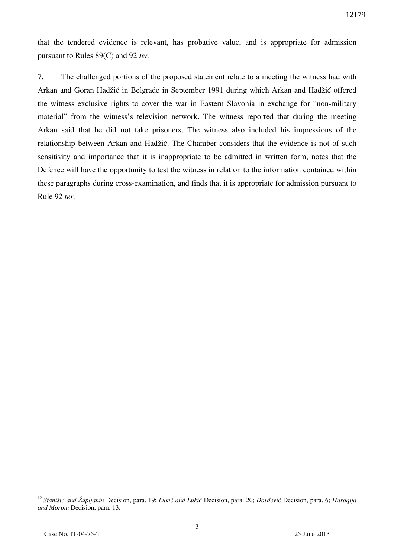that the tendered evidence is relevant, has probative value, and is appropriate for admission pursuant to Rules 89(C) and 92 *ter*.

7. The challenged portions of the proposed statement relate to a meeting the witness had with Arkan and Goran Hadžić in Belgrade in September 1991 during which Arkan and Hadžić offered the witness exclusive rights to cover the war in Eastern Slavonia in exchange for "non-military material" from the witness's television network. The witness reported that during the meeting Arkan said that he did not take prisoners. The witness also included his impressions of the relationship between Arkan and Hadžić. The Chamber considers that the evidence is not of such sensitivity and importance that it is inappropriate to be admitted in written form, notes that the Defence will have the opportunity to test the witness in relation to the information contained within these paragraphs during cross-examination, and finds that it is appropriate for admission pursuant to Rule 92 *ter.*

 $\overline{a}$ 

<sup>&</sup>lt;sup>12</sup> Stanišić and Župljanin Decision, para. 19; *Lukić and Lukić* Decision, para. 20; *Đorđević* Decision, para. 6; *Haraqija and Morina* Decision, para. 13.